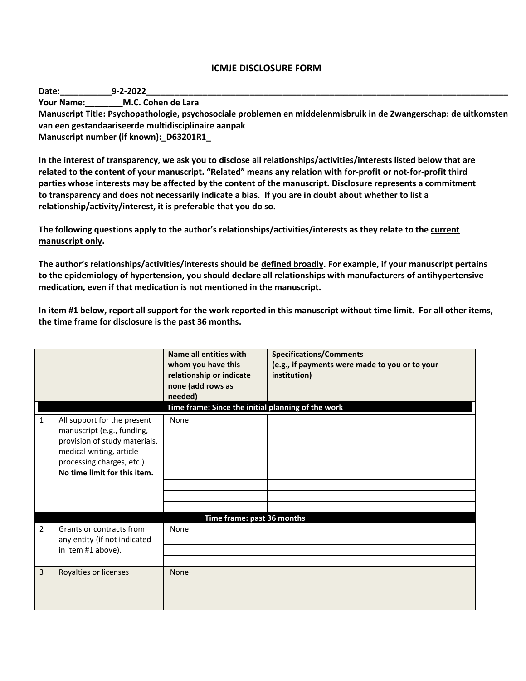## **ICMJE DISCLOSURE FORM**

**Date:\_\_\_\_\_\_\_\_\_\_\_9-2-2022\_\_\_\_\_\_\_\_\_\_\_\_\_\_\_\_\_\_\_\_\_\_\_\_\_\_\_\_\_\_\_\_\_\_\_\_\_\_\_\_\_\_\_\_\_\_\_\_\_\_\_\_\_\_\_\_\_\_\_\_\_\_\_\_\_\_\_\_\_\_\_\_\_\_\_\_\_**

**Your Name:\_\_\_\_\_\_\_\_M.C. Cohen de Lara**

**Manuscript Title: Psychopathologie, psychosociale problemen en middelenmisbruik in de Zwangerschap: de uitkomsten van een gestandaariseerde multidisciplinaire aanpak**

**Manuscript number (if known):\_D63201R1\_**

**In the interest of transparency, we ask you to disclose all relationships/activities/interests listed below that are related to the content of your manuscript. "Related" means any relation with for-profit or not-for-profit third parties whose interests may be affected by the content of the manuscript. Disclosure represents a commitment to transparency and does not necessarily indicate a bias. If you are in doubt about whether to list a relationship/activity/interest, it is preferable that you do so.** 

**The following questions apply to the author's relationships/activities/interests as they relate to the current manuscript only.**

**The author's relationships/activities/interests should be defined broadly. For example, if your manuscript pertains to the epidemiology of hypertension, you should declare all relationships with manufacturers of antihypertensive medication, even if that medication is not mentioned in the manuscript.** 

**In item #1 below, report all support for the work reported in this manuscript without time limit. For all other items, the time frame for disclosure is the past 36 months.** 

|                |                                                                                                                                                                                     | Name all entities with<br>whom you have this<br>relationship or indicate<br>none (add rows as<br>needed)<br>Time frame: Since the initial planning of the work | <b>Specifications/Comments</b><br>(e.g., if payments were made to you or to your<br>institution) |
|----------------|-------------------------------------------------------------------------------------------------------------------------------------------------------------------------------------|----------------------------------------------------------------------------------------------------------------------------------------------------------------|--------------------------------------------------------------------------------------------------|
| $\mathbf{1}$   | All support for the present<br>manuscript (e.g., funding,<br>provision of study materials,<br>medical writing, article<br>processing charges, etc.)<br>No time limit for this item. | None                                                                                                                                                           |                                                                                                  |
|                | Time frame: past 36 months                                                                                                                                                          |                                                                                                                                                                |                                                                                                  |
| $\overline{2}$ | Grants or contracts from<br>any entity (if not indicated<br>in item #1 above).                                                                                                      | None                                                                                                                                                           |                                                                                                  |
| 3              | Royalties or licenses                                                                                                                                                               | None                                                                                                                                                           |                                                                                                  |